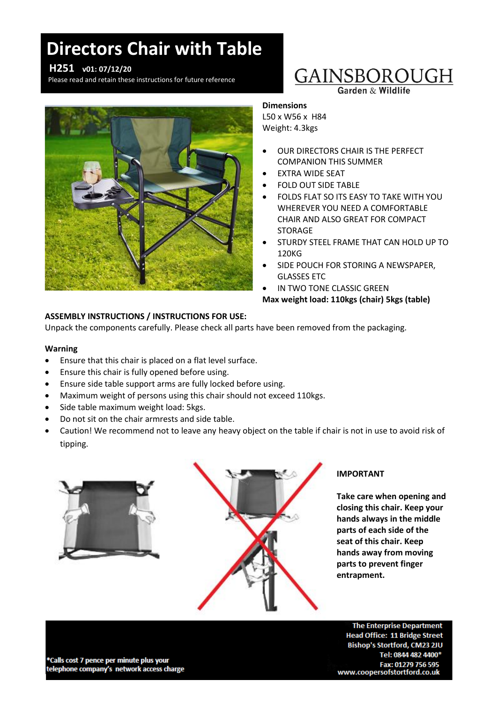# **Directors Chair with Table**

### **H251 v01: 07/12/20**

Please read and retain these instructions for future reference



# GAINSBOROUGH

Garden & Wildlife

### **Dimensions**

L50 x W56 x H84 Weight: 4.3kgs

- OUR DIRECTORS CHAIR IS THE PERFECT COMPANION THIS SUMMER
- EXTRA WIDE SEAT
- FOLD OUT SIDE TABLE
- FOLDS FLAT SO ITS EASY TO TAKE WITH YOU WHEREVER YOU NEED A COMFORTABLE CHAIR AND ALSO GREAT FOR COMPACT **STORAGE**
- STURDY STEEL FRAME THAT CAN HOLD UP TO 120KG
- SIDE POUCH FOR STORING A NEWSPAPER, GLASSES ETC
- IN TWO TONE CLASSIC GREEN

**Max weight load: 110kgs (chair) 5kgs (table)**

### **ASSEMBLY INSTRUCTIONS / INSTRUCTIONS FOR USE:**

Unpack the components carefully. Please check all parts have been removed from the packaging.

### **Warning**

- Ensure that this chair is placed on a flat level surface.
- Ensure this chair is fully opened before using.
- Ensure side table support arms are fully locked before using.
- Maximum weight of persons using this chair should not exceed 110kgs.
- Side table maximum weight load: 5kgs.
- Do not sit on the chair armrests and side table.
- Caution! We recommend not to leave any heavy object on the table if chair is not in use to avoid risk of tipping.



### **IMPORTANT**

**Take care when opening and closing this chair. Keep your hands always in the middle parts of each side of the seat of this chair. Keep hands away from moving parts to prevent finger entrapment.**

\*Calls cost 7 pence per minute plus your telephone company's network access charge

**The Enterprise Department Head Office: 11 Bridge Street** Bishop's Stortford, CM23 2JU Tel: 0844 482 4400\* Fax: 01279 756 595 www.coopersofstortford.co.uk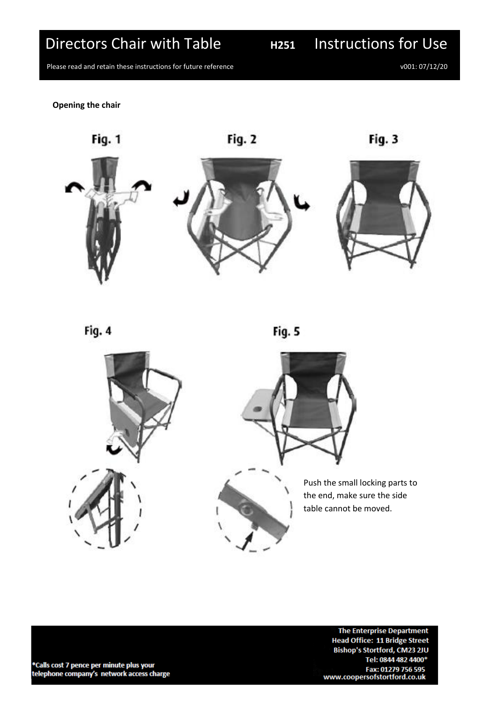## Directors Chair with Table **H251** Instructions for Use

Please read and retain these instructions for future reference<br>
Please read and retain these instructions for future reference

**Opening the chair**



Fig. 4

Fig. 5



The Enterprise Department **Head Office: 11 Bridge Street** Bishop's Stortford, CM23 2JU Tel: 0844 482 4400\* Fax: 01279 756 595<br>Fax: 01279 756 595<br>www.coopersofstortford.co.uk

\*Calls cost 7 pence per minute plus your telephone company's network access charge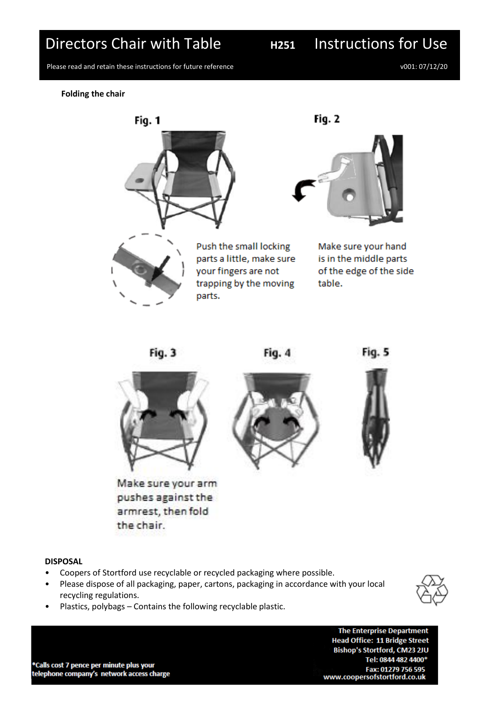## Directors Chair with Table **H251** Instructions for Use

Please read and retain these instructions for future reference v001: 07/12/20

**Folding the chair**











Make sure your arm pushes against the armrest, then fold the chair.





### **DISPOSAL**

- Coopers of Stortford use recyclable or recycled packaging where possible.
- Please dispose of all packaging, paper, cartons, packaging in accordance with your local recycling regulations.
- Plastics, polybags Contains the following recyclable plastic.



**The Enterprise Department Head Office: 11 Bridge Street** Bishop's Stortford, CM23 2JU Tel: 0844 482 4400\* Fax: 01279 756 595 www.coopersofstortford.co.uk

\*Calls cost 7 pence per minute plus your telephone company's network access charge